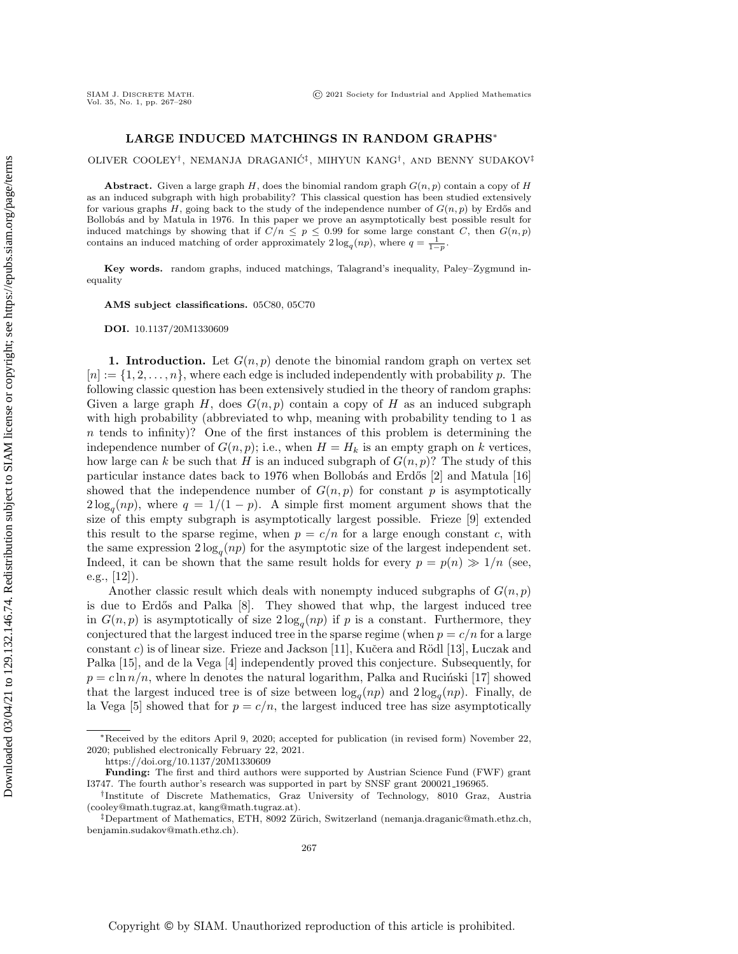## LARGE INDUCED MATCHINGS IN RANDOM GRAPHS\*

OLIVER COOLEY<sup>†</sup>, NEMANJA DRAGANIĆ<sup>‡</sup>, MIHYUN KANG<sup>†</sup>, AND BENNY SUDAKOV<sup>‡</sup>

**Abstract.** Given a large graph  $H$ , does the binomial random graph  $G(n, p)$  contain a copy of  $H$ as an induced subgraph with high probability? This classical question has been studied extensively for various graphs H, going back to the study of the independence number of  $G(n, p)$  by Erdős and Bollobás and by Matula in 1976. In this paper we prove an asymptotically best possible result for induced matchings by showing that if  $C/n \leq p \leq 0.99$  for some large constant C, then  $G(n, p)$ contains an induced matching of order approximately  $2\log_q(np)$ , where  $q = \frac{1}{1-p}$ .

Key words. random graphs, induced matchings, Talagrand's inequality, Paley-Zygmund inequality

AMS subject classifications. 05C80, 05C70

DOI. 10.1137/20M1330609

1. Introduction. Let  $G(n, p)$  denote the binomial random graph on vertex set  $[n] := \{ 1, 2, \ldots, n\}$ , where each edge is included independently with probability p. The following classic question has been extensively studied in the theory of random graphs: Given a large graph  $H$ , does  $G(n, p)$  contain a copy of H as an induced subgraph with high probability (abbreviated to whp, meaning with probability tending to 1 as  $n$  tends to infinity)? One of the first instances of this problem is determining the independence number of  $G(n, p)$ ; i.e., when  $H = H_k$  is an empty graph on k vertices, how large can k be such that H is an induced subgraph of  $G(n, p)$ ? The study of this particular instance dates back to 1976 when Bollobás and Erdős  $[2]$  and Matula  $[16]$ showed that the independence number of  $G(n, p)$  for constant p is asymptotically  $2\log_q(np)$ , where  $q = 1/(1-p)$ . A simple first moment argument shows that the size of this empty subgraph is asymptotically largest possible. Frieze [\[9\]](#page-13-2) extended this result to the sparse regime, when  $p = c/n$  for a large enough constant c, with the same expression  $2\log_q(np)$  for the asymptotic size of the largest independent set. Indeed, it can be shown that the same result holds for every  $p = p(n) \gg 1/n$  (see, e.g., [\[12\]](#page-13-3)).

Another classic result which deals with nonempty induced subgraphs of  $G(n, p)$ is due to Erd $\delta$ s and Palka  $[8]$ . They showed that whp, the largest induced tree in  $G(n, p)$  is asymptotically of size  $2 \log_q(np)$  if p is a constant. Furthermore, they conjectured that the largest induced tree in the sparse regime (when  $p = c/n$  for a large constant c) is of linear size. Frieze and Jackson [\[11\]](#page-13-5), Kučera and Rödl [\[13\]](#page-13-6), Luczak and Palka [\[15\]](#page-13-7), and de la Vega [\[4\]](#page-13-8) independently proved this conjecture. Subsequently, for  $p = c \ln n/n$ , where ln denotes the natural logarithm, Palka and Rucinski [\[17\]](#page-13-9) showed that the largest induced tree is of size between  $\log_q(np)$  and  $2\log_q(np)$ . Finally, de la Vega [\[5\]](#page-13-10) showed that for  $p = c/n$ , the largest induced tree has size asymptotically

<sup>\*</sup>Received by the editors April 9, 2020; accepted for publication (in revised form) November 22, 2020; published electronically February 22, 2021.

<https://doi.org/10.1137/20M1330609>

Funding: The first and third authors were supported by Austrian Science Fund (FWF) grant I3747. The fourth author's research was supported in part by SNSF grant 200021 196965.

<sup>&</sup>lt;sup>†</sup>Institute of Discrete Mathematics, Graz University of Technology, 8010 Graz, Austria [\(cooley@math.tugraz.at,](mailto:cooley@math.tugraz.at) [kang@math.tugraz.at\)](mailto:kang@math.tugraz.at).

 $\ddagger$ Department of Mathematics, ETH, 8092 Zürich, Switzerland [\(nemanja.draganic@math.ethz.ch,](mailto:nemanja.draganic@math.ethz.ch) [benjamin.sudakov@math.ethz.ch\)](mailto:benjamin.sudakov@math.ethz.ch).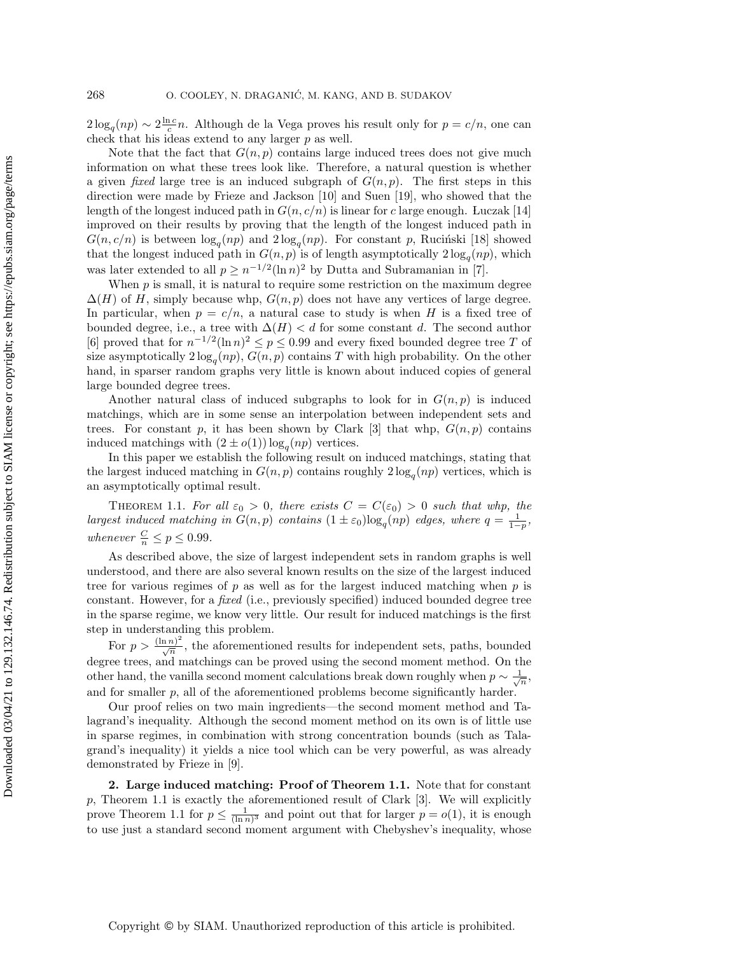$2\log_q(np) \sim 2\frac{\ln c}{c}n$ . Although de la Vega proves his result only for  $p = c/n$ , one can check that his ideas extend to any larger  $p$  as well.

Note that the fact that  $G(n, p)$  contains large induced trees does not give much information on what these trees look like. Therefore, a natural question is whether a given *fixed* large tree is an induced subgraph of  $G(n, p)$ . The first steps in this direction were made by Frieze and Jackson [\[10\]](#page-13-11) and Suen [\[19\]](#page-13-12), who showed that the length of the longest induced path in  $G(n, c/n)$  is linear for c large enough. Luczak [\[14\]](#page-13-13) improved on their results by proving that the length of the longest induced path in  $G(n, c/n)$  is between  $\log_q(np)$  and  $2\log_q(np)$ . For constant p, Rucinski [\[18\]](#page-13-14) showed that the longest induced path in  $G(n, p)$  is of length asymptotically  $2 \log_q(np)$ , which was later extended to all  $p \geq n^{-1/2} (\ln n)^2$  by Dutta and Subramanian in [\[7\]](#page-13-15).

When  $p$  is small, it is natural to require some restriction on the maximum degree  $\Delta (H)$  of H, simply because whp,  $G(n, p)$  does not have any vertices of large degree. In particular, when  $p = c/n$ , a natural case to study is when H is a fixed tree of bounded degree, i.e., a tree with  $\Delta (H) < d$  for some constant d. The second author [\[6\]](#page-13-16) proved that for  $n^{-1/2}(\ln n)^2 \leq p \leq 0.99$  and every fixed bounded degree tree T of size asymptotically  $2\log_q(np)$ ,  $G(n, p)$  contains T with high probability. On the other hand, in sparser random graphs very little is known about induced copies of general large bounded degree trees.

Another natural class of induced subgraphs to look for in  $G(n, p)$  is induced matchings, which are in some sense an interpolation between independent sets and trees. For constant p, it has been shown by Clark [\[3\]](#page-13-17) that whp,  $G(n, p)$  contains induced matchings with  $(2 \pm o(1)) \log_q(np)$  vertices.

In this paper we establish the following result on induced matchings, stating that the largest induced matching in  $G(n, p)$  contains roughly  $2 \log_q(np)$  vertices, which is an asymptotically optimal result.

<span id="page-1-0"></span>THEOREM 1.1. For all  $\varepsilon_0 > 0$ , there exists  $C = C(\varepsilon_0) > 0$  such that whp, the largest induced matching in  $G(n, p)$  contains  $(1 \pm \varepsilon_0) \log_q(np)$  edges, where  $q = \frac{1}{1-p}$ , whenever  $\frac{C}{n} \leq p \leq 0.99$ .

As described above, the size of largest independent sets in random graphs is well understood, and there are also several known results on the size of the largest induced tree for various regimes of  $p$  as well as for the largest induced matching when  $p$  is constant. However, for a fixed (i.e., previously specified) induced bounded degree tree in the sparse regime, we know very little. Our result for induced matchings is the first step in understanding this problem.

For  $p > \frac{(\ln n)^2}{\sqrt{n}}$ , the aforementioned results for independent sets, paths, bounded degree trees, and matchings can be proved using the second moment method. On the other hand, the vanilla second moment calculations break down roughly when  $p \sim \frac{1}{\sqrt{n}}$ , and for smaller  $p$ , all of the aforementioned problems become significantly harder.

Our proof relies on two main ingredients—the second moment method and Talagrand's inequality. Although the second moment method on its own is of little use in sparse regimes, in combination with strong concentration bounds (such as Talagrand's inequality) it yields a nice tool which can be very powerful, as was already demonstrated by Frieze in [\[9\]](#page-13-2).

2. Large induced matching: Proof of Theorem [1.1.](#page-1-0) Note that for constant p, [Theorem 1.1](#page-1-0) is exactly the aforementioned result of Clark [\[3\]](#page-13-17). We will explicitly prove [Theorem 1.1](#page-1-0) for  $p \leq \frac{1}{(\ln n)^3}$  and point out that for larger  $p = o(1)$ , it is enough to use just a standard second moment argument with Chebyshev's inequality, whose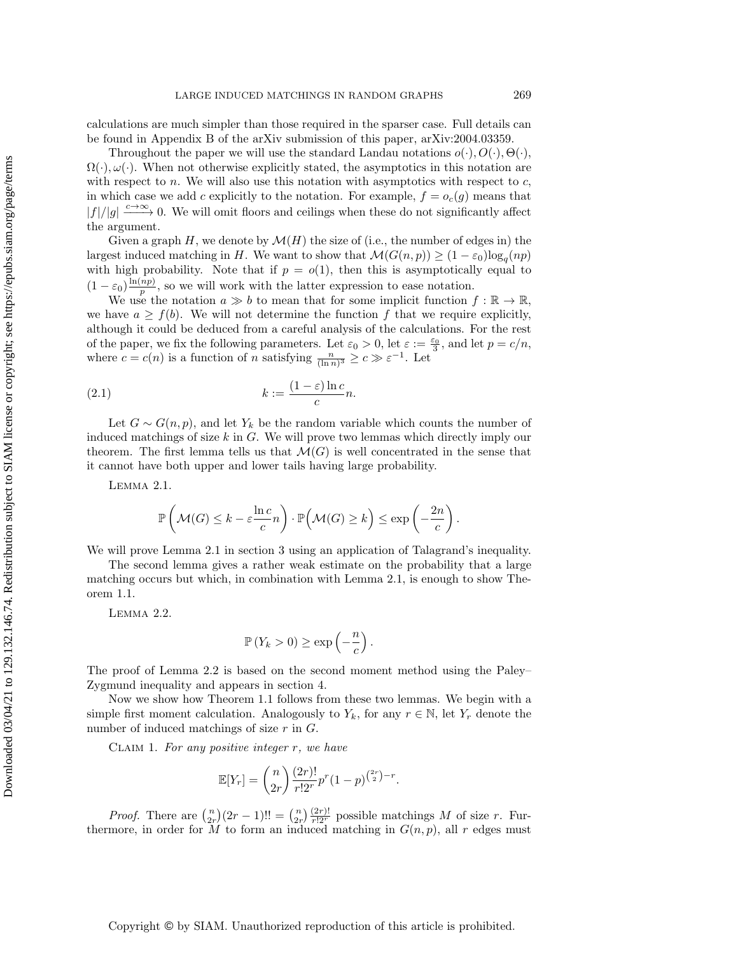calculations are much simpler than those required in the sparser case. Full details can be found in Appendix B of the arXiv submission of this paper, [arXiv:2004.03359.](https://arxiv.org/abs/2004.03359)

Throughout the paper we will use the standard Landau notations  $o(\cdot)$ ,  $O(\cdot)$ ,  $\Theta (\cdot )$ ,  $\Omega (\cdot )$ ,  $\omega (\cdot )$ . When not otherwise explicitly stated, the asymptotics in this notation are with respect to  $n$ . We will also use this notation with asymptotics with respect to  $c$ , in which case we add c explicitly to the notation. For example,  $f = o_c(g)$  means that  $|f|/|g| \xrightarrow{c \to \infty} 0$ . We will omit floors and ceilings when these do not significantly affect the argument.

Given a graph H, we denote by  $\mathcal{M}(H)$  the size of (i.e., the number of edges in) the largest induced matching in H. We want to show that  $\mathcal{M}(G(n, p)) \geq (1 - \varepsilon_0) \log_q(np)$ with high probability. Note that if  $p = o(1)$ , then this is asymptotically equal to  $(1 - \varepsilon_0) \frac{\ln(np)}{p}$  $\frac{np}{p}$ , so we will work with the latter expression to ease notation.

We use the notation  $a \gg b$  to mean that for some implicit function  $f : \mathbb{R} \rightarrow \mathbb{R}$ , we have  $a \geq f(b)$ . We will not determine the function f that we require explicitly, although it could be deduced from a careful analysis of the calculations. For the rest of the paper, we fix the following parameters. Let  $\varepsilon_0 > 0$ , let  $\varepsilon := \frac{\varepsilon_0}{3}$ , and let  $p = c/n$ , where  $c = c(n)$  is a function of n satisfying  $\frac{n}{(\ln n)^3} \geq c \gg \varepsilon^{-1}$ . Let

(2.1) 
$$
k := \frac{(1 - \varepsilon) \ln c}{c} n.
$$

Let  $G \sim G(n, p)$ , and let  $Y_k$  be the random variable which counts the number of induced matchings of size  $k$  in  $G$ . We will prove two lemmas which directly imply our theorem. The first lemma tells us that  $\mathcal{M}(G)$  is well concentrated in the sense that it cannot have both upper and lower tails having large probability.

Lemma 2.1.

<span id="page-2-3"></span>
$$
\mathbb{P}\left(\mathcal{M}(G) \leq k - \varepsilon \frac{\ln c}{c}n\right) \cdot \mathbb{P}\left(\mathcal{M}(G) \geq k\right) \leq \exp\left(-\frac{2n}{c}\right).
$$

We will prove Lemma [2.1](#page-2-0) in section [3](#page-4-0) using an application of Talagrand's inequality.

The second lemma gives a rather weak estimate on the probability that a large matching occurs but which, in combination with [Lemma 2.1,](#page-2-0) is enough to show [The](#page-1-0)[orem 1.1.](#page-1-0)

<span id="page-2-1"></span>Lemma 2.2.

<span id="page-2-0"></span>
$$
\mathbb{P}\left(Y_k > 0\right) \ge \exp\left(-\frac{n}{c}\right).
$$

The proof of [Lemma 2.2](#page-2-1) is based on the second moment method using the Paley-- Zygmund inequality and appears in section [4.](#page-4-1)

Now we show how [Theorem 1.1](#page-1-0) follows from these two lemmas. We begin with a simple first moment calculation. Analogously to  $Y_k$ , for any  $r \in \mathbb{N}$ , let  $Y_r$  denote the number of induced matchings of size  $r$  in  $G$ .

<span id="page-2-2"></span>CLAIM 1. For any positive integer  $r$ , we have

$$
\mathbb{E}[Y_r] = {n \choose 2r} \frac{(2r)!}{r!2^r} p^r (1-p)^{\binom{2r}{2}-r}.
$$

*Proof.* There are  $\binom{n}{2r}(2r-1)!! = \binom{n}{2r} \frac{(2r)!}{r!2^r}$  possible matchings M of size r. Furthermore, in order for M to form an induced matching in  $G(n, p)$ , all r edges must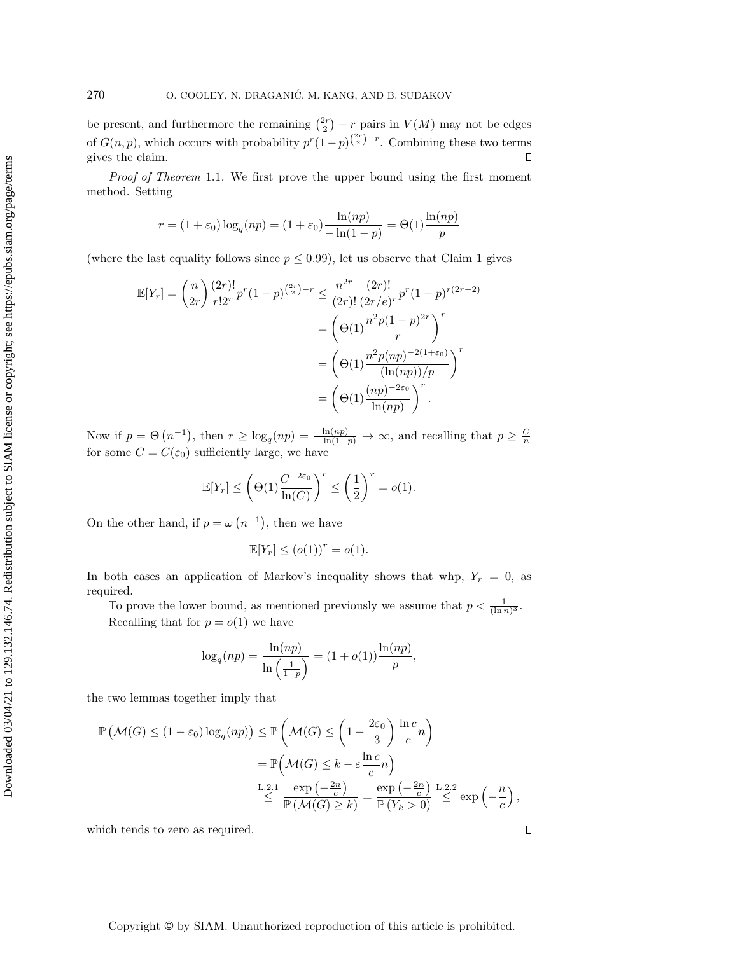be present, and furthermore the remaining  $\binom{2r}{2} - r$  pairs in  $V(M)$  may not be edges of  $G(n, p)$ , which occurs with probability  $p^r(1-p)^{\binom{2r}{2}-r}$ . Combining these two terms gives the claim.  $\Box$ 

Proof of [Theorem](#page-1-0) 1.1. We first prove the upper bound using the first moment method. Setting

$$
r = (1 + \varepsilon_0) \log_q(np) = (1 + \varepsilon_0) \frac{\ln(np)}{-\ln(1 - p)} = \Theta(1) \frac{\ln(np)}{p}
$$

(where the last equality follows since  $p \leq 0.99$ ), let us observe that [Claim 1](#page-2-2) gives

$$
\mathbb{E}[Y_r] = {n \choose 2r} \frac{(2r)!}{r!2^r} p^r (1-p)^{{2r \choose 2}-r} \le \frac{n^{2r}}{(2r)!} \frac{(2r)!}{(2r/e)^r} p^r (1-p)^{r(2r-2)}
$$
  

$$
= {(\Theta(1) \frac{n^2 p (1-p)^{2r}}{r})}^r
$$
  

$$
= {(\Theta(1) \frac{n^2 p (np)^{-2(1+\varepsilon_0)}}{(\ln(np))/p})}^r
$$
  

$$
= {(\Theta(1) \frac{(np)^{-2\varepsilon_0}}{\ln(np)})}^r.
$$

Now if  $p = \Theta \left( n^{-1} \right)$ , then  $r \geq \log_q(np) = \frac{\ln(np)}{-\ln(1-p)} \to \infty$ , and recalling that  $p \geq \frac{C}{n}$ for some  $C = C(\varepsilon_0)$  sufficiently large, we have

$$
\mathbb{E}[Y_r] \le \left(\Theta(1)\frac{C^{-2\varepsilon_0}}{\ln(C)}\right)^r \le \left(\frac{1}{2}\right)^r = o(1).
$$

On the other hand, if  $p = \omega (n^{-1})$ , then we have

$$
\mathbb{E}[Y_r] \le (o(1))^r = o(1).
$$

In both cases an application of Markov's inequality shows that whp,  $Y_r = 0$ , as required.

To prove the lower bound, as mentioned previously we assume that  $p < \frac{1}{(\ln n)^3}$ . Recalling that for  $p = o(1)$  we have

$$
\log_q(np) = \frac{\ln(np)}{\ln\left(\frac{1}{1-p}\right)} = (1+o(1))\frac{\ln(np)}{p},
$$

the two lemmas together imply that

$$
\mathbb{P}\left(\mathcal{M}(G) \le (1 - \varepsilon_0) \log_q(np)\right) \le \mathbb{P}\left(\mathcal{M}(G) \le \left(1 - \frac{2\varepsilon_0}{3}\right) \frac{\ln c}{c}n\right)
$$

$$
= \mathbb{P}\left(\mathcal{M}(G) \le k - \varepsilon \frac{\ln c}{c}n\right)
$$

$$
\stackrel{\text{L.2.1}}{\le} \frac{\exp\left(-\frac{2n}{c}\right)}{\mathbb{P}\left(\mathcal{M}(G) \ge k\right)} = \frac{\exp\left(-\frac{2n}{c}\right)}{\mathbb{P}\left(Y_k > 0\right)} \stackrel{\text{L.2.2}}{\le} \exp\left(-\frac{n}{c}\right),
$$

which tends to zero as required.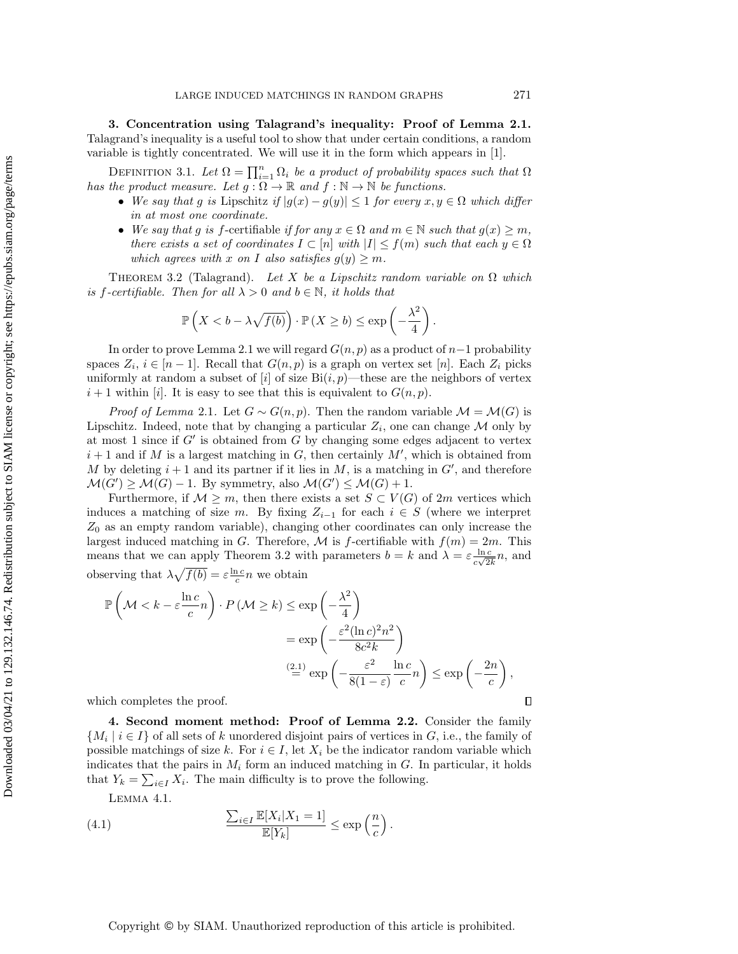<span id="page-4-0"></span>3. Concentration using Talagrand's inequality: Proof of [Lemma 2.1.](#page-2-0) Talagrand's inequality is a useful tool to show that under certain conditions, a random variable is tightly concentrated. We will use it in the form which appears in [\[1\]](#page-13-18).

DEFINITION 3.1. Let  $\Omega = \prod_{i=1}^n \Omega_i$  be a product of probability spaces such that  $\Omega$ has the product measure. Let  $g : \Omega \rightarrow \Bbb R$  and  $f : \Bbb N \rightarrow \Bbb N$  be functions.

- $\bullet$  We say that g is Lipschitz if  $| g(x) g(y)| \leq 1$  for every  $x, y \in \Omega$  which differ in at most one coordinate.
- $\bullet$  We say that g is f-certifiable if for any  $x \in \Omega$  and  $m \in \mathbb{N}$  such that  $g(x) \geq m$ , there exists a set of coordinates  $I \subset [n]$  with  $|I| \leq f(m)$  such that each  $y \in \Omega$ which agrees with x on I also satisfies  $g(y) \geq m$ .

<span id="page-4-2"></span>THEOREM 3.2 (Talagrand). Let X be a Lipschitz random variable on  $\Omega$  which is f-certifiable. Then for all  $\lambda > 0$  and  $b \in \mathbb{N}$ , it holds that

$$
\mathbb{P}\left(X < b - \lambda \sqrt{f(b)}\right) \cdot \mathbb{P}\left(X \ge b\right) \le \exp\left(-\frac{\lambda^2}{4}\right).
$$

In order to prove [Lemma 2.1](#page-2-0) we will regard  $G(n, p)$  as a product of  $n-1$  probability spaces  $Z_i$ ,  $i \in [n - 1]$ . Recall that  $G(n, p)$  is a graph on vertex set [n]. Each  $Z_i$  picks uniformly at random a subset of [i] of size  $Bi(i, p)$ —these are the neighbors of vertex  $i+1$  within [i]. It is easy to see that this is equivalent to  $G(n, p)$ .

*Proof of [Lemma](#page-2-0) 2.1.* Let  $G \sim G(n, p)$ . Then the random variable  $\mathcal{M} = \mathcal{M} (G)$  is Lipschitz. Indeed, note that by changing a particular  $Z_i$ , one can change  $\mathcal M$  only by at most 1 since if  $G'$  is obtained from G by changing some edges adjacent to vertex  $i+1$  and if M is a largest matching in G, then certainly M', which is obtained from M by deleting  $i + 1$  and its partner if it lies in M, is a matching in  $G'$ , and therefore  $\mathcal M (G') \geq \mathcal M (G) - 1$ . By symmetry, also  $\mathcal M (G') \leq \mathcal M (G) + 1$ .

Furthermore, if  $\mathcal{M} \geq m$ , then there exists a set  $S \subset V (G)$  of 2m vertices which induces a matching of size m. By fixing  $Z_{i-1}$  for each  $i \in S$  (where we interpret  $Z_0$  as an empty random variable), changing other coordinates can only increase the largest induced matching in G. Therefore, M is f-certifiable with  $f(m) = 2m$ . This means that we can apply [Theorem 3.2](#page-4-2) with parameters  $b = k$  and  $\lambda = \varepsilon \frac{\ln c}{\sqrt{2}}$  $\frac{\ln c}{c\sqrt{2k}}n$ , and observing that  $\lambda \sqrt{f(b)} = \varepsilon \frac{\ln c}{c} n$  we obtain

$$
\mathbb{P}\left(\mathcal{M} < k - \varepsilon \frac{\ln c}{c}n\right) \cdot P\left(\mathcal{M} \ge k\right) \le \exp\left(-\frac{\lambda^2}{4}\right)
$$
\n
$$
= \exp\left(-\frac{\varepsilon^2 (\ln c)^2 n^2}{8c^2 k}\right)
$$
\n
$$
\stackrel{(2.1)}{=} \exp\left(-\frac{\varepsilon^2}{8(1-\varepsilon)}\frac{\ln c}{c}n\right) \le \exp\left(-\frac{2n}{c}\right),
$$
\nich completes the proof.

which completes the proof.

<span id="page-4-1"></span>4. Second moment method: Proof of [Lemma 2.2.](#page-2-1) Consider the family  $\{ M_i \mid i \in I \}$  of all sets of k unordered disjoint pairs of vertices in G, i.e., the family of possible matchings of size k. For  $i \in I$ , let  $X_i$  be the indicator random variable which indicates that the pairs in  $M_i$  form an induced matching in G. In particular, it holds that  $Y_k = \sum_{i \in I} X_i$ . The main difficulty is to prove the following.

<span id="page-4-4"></span><span id="page-4-3"></span>Lemma 4.1.

(4.1) 
$$
\frac{\sum_{i\in I} \mathbb{E}[X_i|X_1=1]}{\mathbb{E}[Y_k]} \le \exp\left(\frac{n}{c}\right).
$$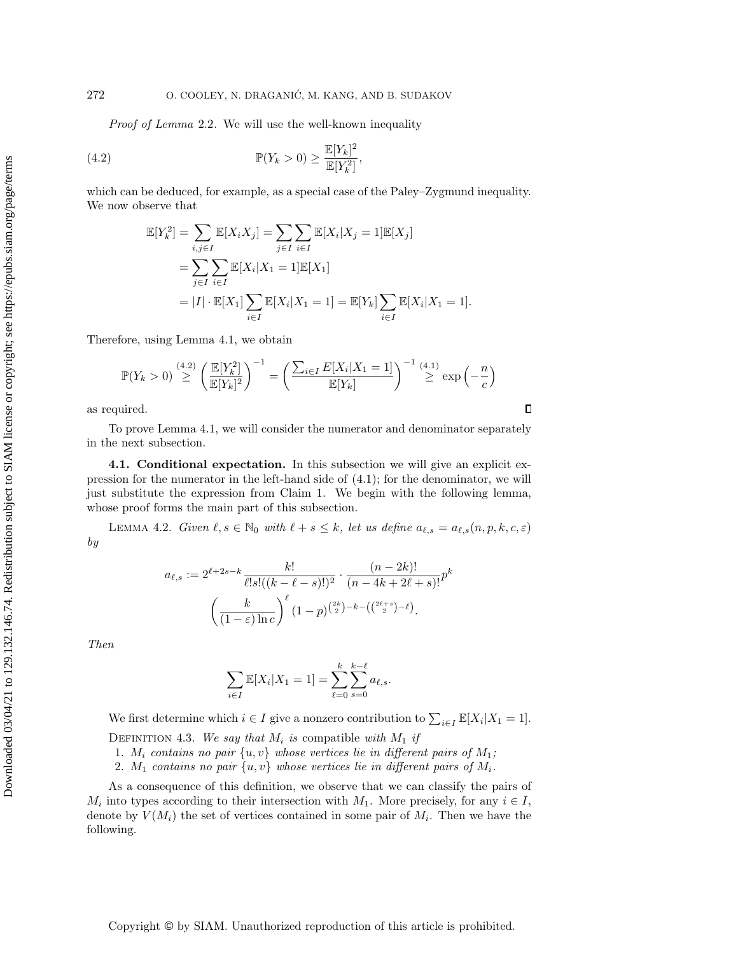Proof of [Lemma](#page-2-1) 2.2. We will use the well-known inequality

(4.2) 
$$
\mathbb{P}(Y_k > 0) \ge \frac{\mathbb{E}[Y_k]^2}{\mathbb{E}[Y_k^2]},
$$

which can be deduced, for example, as a special case of the Paley-Zygmund inequality. We now observe that

<span id="page-5-0"></span>
$$
\mathbb{E}[Y_k^2] = \sum_{i,j \in I} \mathbb{E}[X_i X_j] = \sum_{j \in I} \sum_{i \in I} \mathbb{E}[X_i | X_j = 1] \mathbb{E}[X_j]
$$
  
= 
$$
\sum_{j \in I} \sum_{i \in I} \mathbb{E}[X_i | X_1 = 1] \mathbb{E}[X_1]
$$
  
= 
$$
|I| \cdot \mathbb{E}[X_1] \sum_{i \in I} \mathbb{E}[X_i | X_1 = 1] = \mathbb{E}[Y_k] \sum_{i \in I} \mathbb{E}[X_i | X_1 = 1].
$$

Therefore, using [Lemma 4.1,](#page-4-3) we obtain

$$
\mathbb{P}(Y_k > 0) \stackrel{(4.2)}{\geq} \left(\frac{\mathbb{E}[Y_k^2]}{\mathbb{E}[Y_k]^2}\right)^{-1} = \left(\frac{\sum_{i \in I} E[X_i | X_1 = 1]}{\mathbb{E}[Y_k]}\right)^{-1} \stackrel{(4.1)}{\geq} \exp\left(-\frac{n}{c}\right)
$$

 $\Box$ 

as required.

To prove [Lemma 4.1,](#page-4-3) we will consider the numerator and denominator separately in the next subsection.

4.1. Conditional expectation. In this subsection we will give an explicit expression for the numerator in the left-hand side of [\(4.1\)](#page-4-4); for the denominator, we will just substitute the expression from [Claim 1.](#page-2-2) We begin with the following lemma, whose proof forms the main part of this subsection.

<span id="page-5-2"></span>LEMMA 4.2. Given  $\ell, s \in \mathbb{N}_0$  with  $\ell + s \leq k$ , let us define  $a_{\ell, s} = a_{\ell, s}(n, p, k, c, \varepsilon )$ by

$$
a_{\ell,s} := 2^{\ell+2s-k} \frac{k!}{\ell!s!((k-\ell-s)!)^2} \cdot \frac{(n-2k)!}{(n-4k+2\ell+s)!} p^k
$$

$$
\left(\frac{k}{(1-\varepsilon)\ln c}\right)^{\ell} (1-p)^{\binom{2k}{2}-k-\left(\binom{2\ell+s}{2}-\ell\right)}.
$$

Then

$$
\sum_{i \in I} \mathbb{E}[X_i | X_1 = 1] = \sum_{\ell=0}^k \sum_{s=0}^{k-\ell} a_{\ell,s}.
$$

We first determine which  $i \in I$  give a nonzero contribution to  $\sum_{i \in I} \mathbb{E}[X_i | X_1 = 1].$ DEFINITION 4.3. We say that  $M_i$  is compatible with  $M_1$  if

- 1.  $M_i$  contains no pair  $\{ u, v \}$  whose vertices lie in different pairs of  $M_1$ ;
- 2.  $M_1$  contains no pair  $\{ u, v\}$  whose vertices lie in different pairs of  $M_i$ .

<span id="page-5-1"></span>As a consequence of this definition, we observe that we can classify the pairs of  $M_i$  into types according to their intersection with  $M_1$ . More precisely, for any  $i \in I$ , denote by  $V(M_i)$  the set of vertices contained in some pair of  $M_i$ . Then we have the following.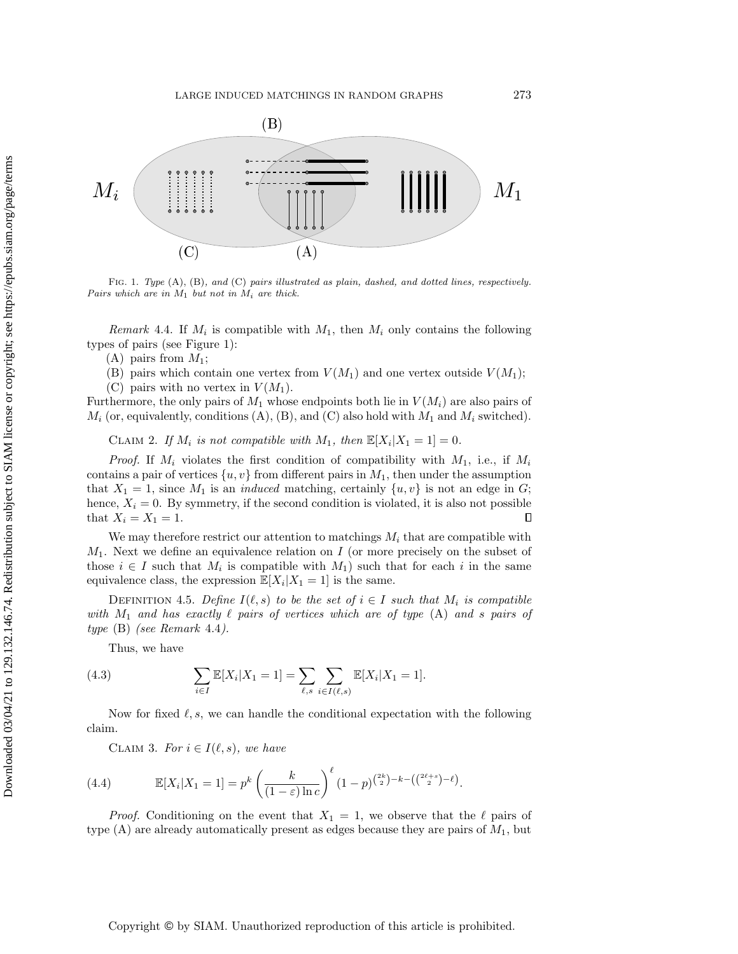<span id="page-6-0"></span>

FIG. 1. Type  $(A)$ ,  $(B)$ , and  $(C)$  pairs illustrated as plain, dashed, and dotted lines, respectively. Pairs which are in  $M_1$  but not in  $M_i$  are thick.

 $\overline{D}$   $\overline{J}$   $\overline{J}$   $\overline{J}$   $\overline{J}$   $\overline{J}$   $\overline{J}$   $\overline{J}$   $\overline{J}$   $\overline{J}$   $\overline{J}$   $\overline{J}$   $\overline{J}$   $\overline{J}$   $\overline{J}$   $\overline{J}$   $\overline{J}$   $\overline{J}$   $\overline{J}$   $\overline{J}$   $\overline{J}$   $\overline{J}$   $\overline{J}$   $\overline{J}$   $\overline{$ (see Figure  $\mathbf{r}$  $\frac{1}{1}$ . *Remark* 4.4. If  $M_i$  is compatible with  $M_1$ , then  $M_i$  only contains the following s of pairs (see Figure 1): types of pairs (see [Figure 1\)](#page-6-0):<br>(A) pairs from  $M$ . <sup>≥</sup> exp

<span id="page-6-4"></span><span id="page-6-2"></span><span id="page-6-1"></span> $(A)$  pairs from  $M_1$ ;

(B) pairs which contain one vertex from  $V(M_1)$  and one vertex outside  $V(M_1)$ ;

(C) pairs with no vertex in  $V(M_1)$ .

Furthermore, the only pairs of  $M_1$  whose endpoints both lie in  $V(M_i)$  are also pairs of  $M_i$  (or, equivalently, conditions (A), (B), and (C) also hold with  $M_1$  and  $M_i$  switched).

CLAIM 2. If  $M_i$  is not compatible with  $M_1$ , then  $\mathbb E [X_i | X_1 = 1] = 0$ .

*Proof.* If  $M_i$  violates the first condition of compatibility with  $M_1$ , i.e., if  $M_i$  $\overline{P}(u,v)$ . If  $M_i$  violates the first condition of compatibility with  $M_1$ , i.e., if  $M_i$  contains a pair of vertices  $\{u, v\}$  from different pairs in  $M_1$ , then under the assumption that  $X_1 = 1$ , since  $M_1$  is an *induced* matching, certainly  $\{u, v\}$  is not an edge in G; hence,  $X_i = 0$ . By symmetry, if the second condition is violated, it is also not possible that  $X_i = X_1 = 1$ . that  $X_i = X_1 = 1$ .  $\Box$ 

We may therefore restrict our attention to matchings  $M_i$  that are compatible with  $M_1$ . Next we define an equivalence relation on I (or more precisely on the subset of those  $i \in I$  such that  $M_i$  is compatible with  $M_1$ ) such that for each i in the same equivalence class, the expression  $\mathbb{E}[X_i | X_1 = 1]$  is the same.

DEFINITION 4.5. Define  $I(\ell, s)$  to be the set of  $i \in I$  such that  $M_i$  is compatible with  $M_1$  and has exactly  $\ell$  pairs of vertices which are of type [\(A\)](#page-6-1) and s pairs of  $167$  intersection with M1. More precisely,  $14.4$ .  $type$  [\(B\)](#page-6-2) (see [Remark](#page-5-1) 4.4).

1 nus, we nave Thus, we have

<span id="page-6-3"></span>(4.3) 
$$
\sum_{i \in I} \mathbb{E}[X_i | X_1 = 1] = \sum_{\ell, s} \sum_{i \in I(\ell, s)} \mathbb{E}[X_i | X_1 = 1].
$$

Now for fixed  $\ell, s$ , we can handle the conditional expectation with the following  $\frac{1}{2}$  conditions (A), (B) and  $\frac{1}{2}$ claim.

<span id="page-6-5"></span>CLAIM 3. For  $i \in I(\ell , s)$ , we have

(4.4) 
$$
\mathbb{E}[X_i|X_1=1] = p^k \left(\frac{k}{(1-\varepsilon)\ln c}\right)^{\ell} (1-p)^{\binom{2k}{2}-k-\left(\binom{2\ell+s}{2}-\ell\right)}.
$$

*Proof.* Conditioning on the event that  $X_1 = 1$ , we observe that the  $\ell$  pairs of type  $(A)$  are already automatically present as edges because they are pairs of  $M_1$ , but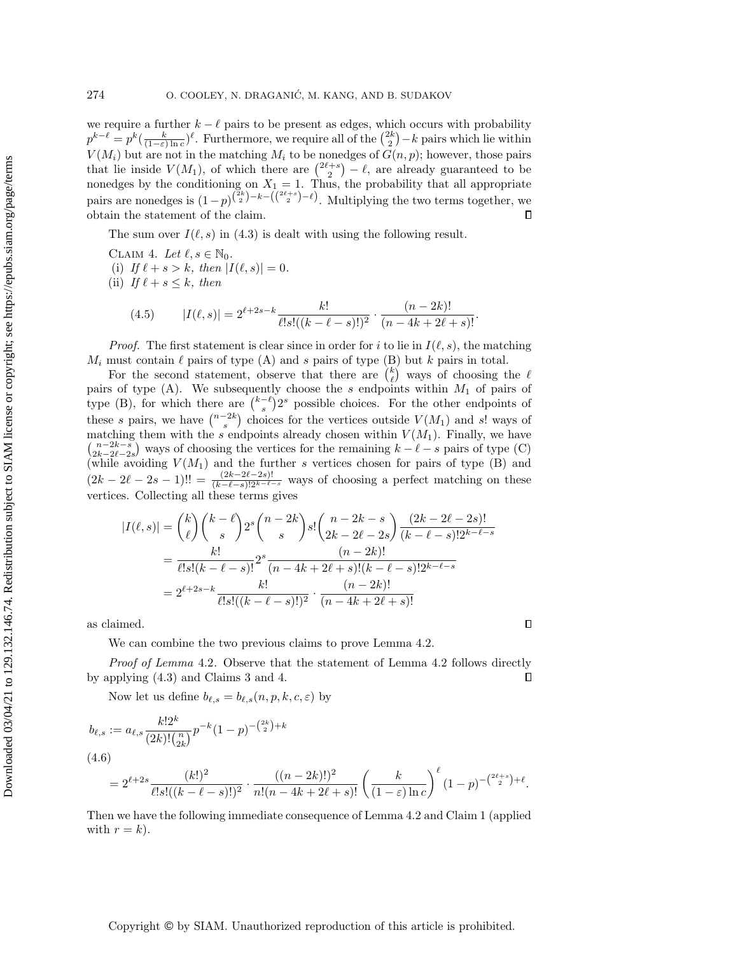we require a further  $k - \ell$  pairs to be present as edges, which occurs with probability  $p^{k-\ell} = p^k(\frac{k}{(1-\varepsilon)\ln c})^{\ell}$ . Furthermore, we require all of the  $\binom{2k}{2} - k$  pairs which lie within  $V(M_i)$  but are not in the matching  $M_i$  to be nonedges of  $G(n, p)$ ; however, those pairs that lie inside  $V(M_1)$ , of which there are  $\binom{2\ell+s}{2} - \ell$ , are already guaranteed to be nonedges by the conditioning on  $X_1 = 1$ . Thus, the probability that all appropriate pairs are nonedges is  $(1-p)^{\binom{2k}{2}-k-(\binom{2\ell+s}{2}-\ell)}$ . Multiplying the two terms together, we obtain the statement of the claim.  $\Box$ 

The sum over  $I(\ell , s)$  in [\(4.3\)](#page-6-3) is dealt with using the following result.

<span id="page-7-0"></span>CLAIM 4. Let  $\ell, s \in \mathbb{N}_0$ . (i) If  $\ell + s > k$ , then  $| I(\ell , s)| = 0$ .

(ii) If  $\ell + s \leq k$ , then

(4.5) 
$$
|I(\ell, s)| = 2^{\ell+2s-k} \frac{k!}{\ell! s! ((k-\ell-s)!)^2} \cdot \frac{(n-2k)!}{(n-4k+2\ell+s)!}.
$$

*Proof.* The first statement is clear since in order for i to lie in  $I(\ell , s)$ , the matching  $M_i$  must contain  $\ell$  pairs of type [\(A\)](#page-6-1) and s pairs of type [\(B\)](#page-6-2) but k pairs in total.

For the second statement, observe that there are  $\binom{k}{\ell}$  ways of choosing the  $\ell$ pairs of type  $(A)$ . We subsequently choose the s endpoints within  $M_1$  of pairs of type [\(B\),](#page-6-2) for which there are  $\binom{k - \ell}{s} 2^s$  possible choices. For the other endpoints of these s pairs, we have  $\binom{n - 2k}{s}$  choices for the vertices outside  $V(M_1)$  and s! ways of matching them with the s endpoints already chosen within  $V(M_1)$ . Finally, we have  $\begin{pmatrix} n - 2k - s \\ 2k - 2\ell - 2s \end{pmatrix}$  ways of choosing the vertices for the remaining  $k - \ell - s$  pairs of type [\(C\)](#page-6-4) (while avoiding  $V(M_1)$  and the further s vertices chosen for pairs of type [\(B\)](#page-6-2) and  $(2k - 2\ell - 2s - 1)!! = \frac{(2k - 2\ell - 2s)!}{(k - \ell - s)!2^{k - \ell - s}}$  ways of choosing a perfect matching on these vertices. Collecting all these terms gives

$$
|I(\ell, s)| = {k \choose \ell} {k - \ell \choose s} 2^s {n - 2k \choose s} s! {n - 2k - s \choose 2k - 2\ell - 2s} \frac{(2k - 2\ell - 2s)!}{(k - \ell - s)! 2^{k - \ell - s}}
$$
  
= 
$$
\frac{k!}{\ell! s! (k - \ell - s)!} 2^s \frac{(n - 2k)!}{(n - 4k + 2\ell + s)! (k - \ell - s)! 2^{k - \ell - s}}
$$
  
= 
$$
2^{\ell + 2s - k} \frac{k!}{\ell! s! ((k - \ell - s)!)^2} \cdot \frac{(n - 2k)!}{(n - 4k + 2\ell + s)!}
$$

 $\Box$ 

as claimed.

We can combine the two previous claims to prove [Lemma 4.2.](#page-5-2)

Proof of [Lemma](#page-5-2) 4.2. Observe that the statement of [Lemma 4.2](#page-5-2) follows directly by applying [\(4.3\)](#page-6-3) and [Claims 3](#page-6-5) and [4.](#page-7-0) П

Now let us define  $b_{\ell, s} = b_{\ell, s}(n, p, k, c, \varepsilon)$  by

<span id="page-7-2"></span>
$$
b_{\ell,s} := a_{\ell,s} \frac{k! 2^k}{(2k)! \binom{n}{2k}} p^{-k} (1-p)^{-\binom{2k}{2} + k}
$$
  
(4.6)

$$
=2^{\ell+2s}\frac{(k!)^2}{\ell!s!((k-\ell-s)!)^2}\cdot\frac{((n-2k)!)^2}{n!(n-4k+2\ell+s)!}\left(\frac{k}{(1-\varepsilon)\ln c}\right)^{\ell}(1-p)^{-\binom{2\ell+s}{2}+\ell}.
$$

<span id="page-7-1"></span>Then we have the following immediate consequence of [Lemma 4.2](#page-5-2) and [Claim 1](#page-2-2) (applied with  $r = k$ ).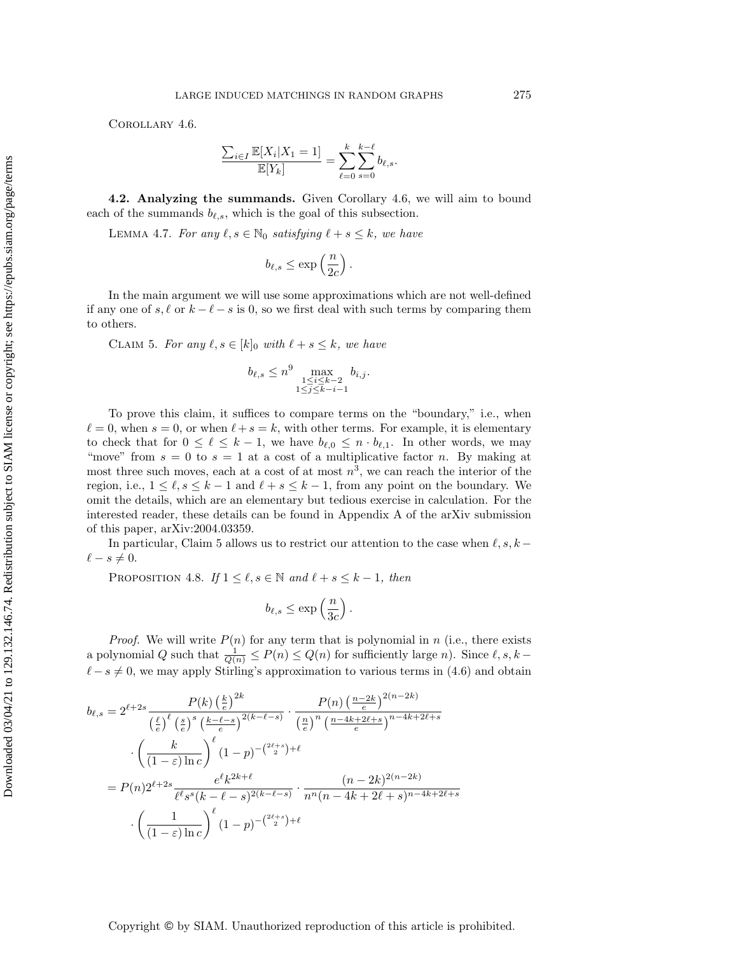Corollary 4.6.

$$
\frac{\sum_{i \in I} \mathbb{E}[X_i | X_1 = 1]}{\mathbb{E}[Y_k]} = \sum_{\ell=0}^k \sum_{s=0}^{k-\ell} b_{\ell,s}.
$$

4.2. Analyzing the summands. Given [Corollary 4.6,](#page-7-1) we will aim to bound each of the summands  $b_{\ell,s}$ , which is the goal of this subsection.

<span id="page-8-2"></span>LEMMA 4.7. For any  $\ell, s \in \mathbb{N}_0$  satisfying  $\ell + s \leq k$ , we have

$$
b_{\ell,s} \le \exp\left(\frac{n}{2c}\right).
$$

In the main argument we will use some approximations which are not well-defined if any one of s,  $\ell$  or  $k - \ell - s$  is 0, so we first deal with such terms by comparing them to others.

<span id="page-8-0"></span>CLAIM 5. For any  $\ell, s \in [k]_0$  with  $\ell + s \leq k$ , we have

$$
b_{\ell,s} \le n^9 \max_{\substack{1 \le i \le k-2 \\ 1 \le j \le k-i-1}} b_{i,j}.
$$

To prove this claim, it suffices to compare terms on the "boundary," i.e., when  $\ell = 0$ , when  $s = 0$ , or when  $\ell + s = k$ , with other terms. For example, it is elementary to check that for  $0 \leq \ell \leq k - 1$ , we have  $b_{\ell,0} \leq n \cdot b_{\ell,1}$ . In other words, we may "move" from  $s = 0$  to  $s = 1$  at a cost of a multiplicative factor n. By making at most three such moves, each at a cost of at most  $n^3$ , we can reach the interior of the region, i.e.,  $1 \leq \ell, s \leq k - 1$  and  $\ell + s \leq k - 1$ , from any point on the boundary. We omit the details, which are an elementary but tedious exercise in calculation. For the interested reader, these details can be found in Appendix A of the arXiv submission of this paper, [arXiv:2004.03359.](https://arxiv.org/abs/2004.03359)

In particular, [Claim 5](#page-8-0) allows us to restrict our attention to the case when  $\ell, s, k \ell - s \neq 0.$ 

<span id="page-8-1"></span>PROPOSITION 4.8. If  $1 \leq \ell, s \in \Bbb N$  and  $\ell + s \leq k - 1$ , then

$$
b_{\ell,s} \le \exp\left(\frac{n}{3c}\right).
$$

*Proof.* We will write  $P(n)$  for any term that is polynomial in n (i.e., there exists a polynomial Q such that  $\frac{1}{Q(n)} \leq P(n) \leq Q(n)$  for sufficiently large n). Since  $\ell , s , k \ell - s \neq 0$ , we may apply Stirling's approximation to various terms in [\(4.6\)](#page-7-2) and obtain

$$
b_{\ell,s} = 2^{\ell+2s} \frac{P(k) \left(\frac{k}{e}\right)^{2k}}{\left(\frac{\ell}{e}\right)^{\ell} \left(\frac{s}{e}\right)^{s} \left(\frac{k-\ell-s}{e}\right)^{2(k-\ell-s)}} \cdot \frac{P(n) \left(\frac{n-2k}{e}\right)^{2(n-2k)}}{\left(\frac{n}{e}\right)^{n} \left(\frac{n-4k+2\ell+s}{e}\right)^{n-4k+2\ell+s}}
$$

$$
\cdot \left(\frac{k}{(1-\varepsilon)\ln c}\right)^{\ell} (1-p)^{-\binom{2\ell+s}{2}+\ell}
$$

$$
= P(n) 2^{\ell+2s} \frac{e^{\ell} k^{2k+\ell}}{\ell^{\ell} s^{s} (k-\ell-s)^{2(k-\ell-s)}} \cdot \frac{(n-2k)^{2(n-2k)}}{n^{n} (n-4k+2\ell+s)^{n-4k+2\ell+s}}
$$

$$
\cdot \left(\frac{1}{(1-\varepsilon)\ln c}\right)^{\ell} (1-p)^{-\binom{2\ell+s}{2}+\ell}
$$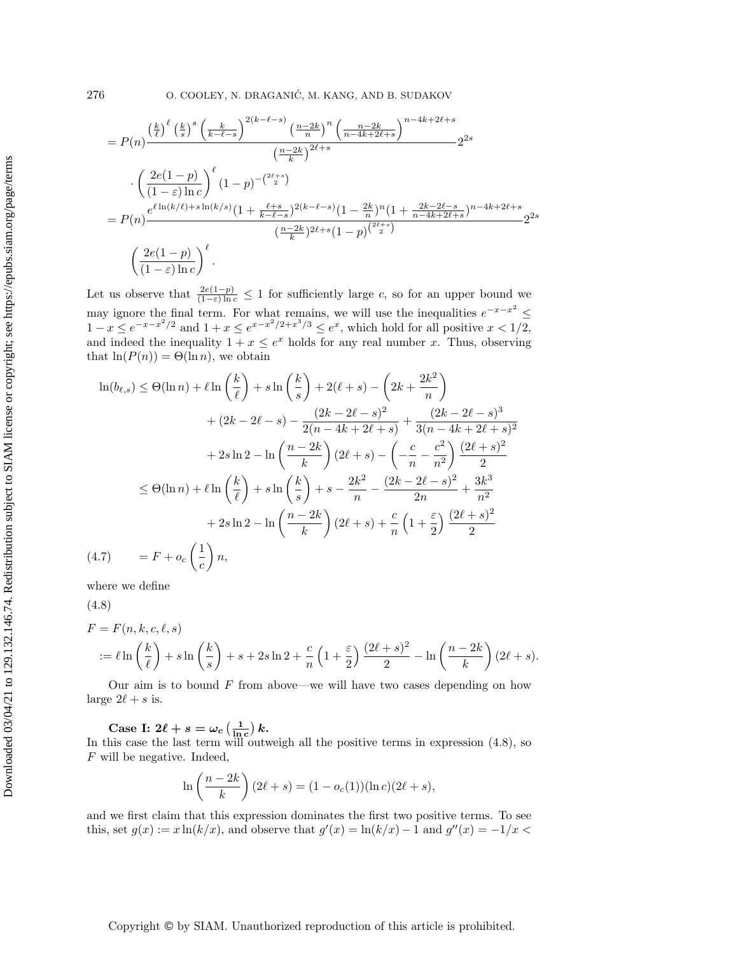$$
= P(n) \frac{\left(\frac{k}{\ell}\right)^{\ell} \left(\frac{k}{s}\right)^{s} \left(\frac{k}{k-\ell-s}\right)^{2(k-\ell-s)} \left(\frac{n-2k}{n}\right)^{n} \left(\frac{n-2k}{n-4k+2\ell+s}\right)^{n-4k+2\ell+s}}{\left(\frac{n-2k}{k}\right)^{2\ell+s}} 2^{2s}
$$

$$
\cdot \left(\frac{2e(1-p)}{(1-\varepsilon)\ln c}\right)^{\ell} (1-p)^{-\binom{2\ell+s}{2}}
$$

$$
= P(n) \frac{e^{\ell \ln(k/\ell)+s\ln(k/s)}(1+\frac{\ell+s}{k-\ell-s})^{2(k-\ell-s)}(1-\frac{2k}{n})^{n} (1+\frac{2k-2\ell-s}{n-4k+2\ell+s})^{n-4k+2\ell+s}}{\left(\frac{n-2k}{k}\right)^{2\ell+s}(1-p)^{\binom{2\ell+s}{2}}}
$$

$$
2^{2s}
$$

$$
\left(\frac{2e(1-p)}{(1-\varepsilon)\ln c}\right)^{\ell}.
$$

Let us observe that  $\frac{2e(1-p)}{(1-\varepsilon)\ln c} \leq 1$  for sufficiently large c, so for an upper bound we may ignore the final term. For what remains, we will use the inequalities  $e^{-x-x^2} \leq$  $1 - x \leq e^{-x - x^2/2}$  and  $1 + x \leq e^{x - x^2/2 + x^3/3} \leq e^x$ , which hold for all positive  $x < 1/2$ , and indeed the inequality  $1 + x \leq e^x$  holds for any real number x. Thus, observing that  $\ln(P(n)) = \Theta(\ln n)$ , we obtain

$$
\ln(b_{\ell,s}) \leq \Theta(\ln n) + \ell \ln\left(\frac{k}{\ell}\right) + s \ln\left(\frac{k}{s}\right) + 2(\ell+s) - \left(2k + \frac{2k^2}{n}\right) + (2k - 2\ell - s) - \frac{(2k - 2\ell - s)^2}{2(n - 4k + 2\ell + s)} + \frac{(2k - 2\ell - s)^3}{3(n - 4k + 2\ell + s)^2} + 2s \ln 2 - \ln\left(\frac{n - 2k}{k}\right)(2\ell+s) - \left(-\frac{c}{n} - \frac{c^2}{n^2}\right)\frac{(2\ell+s)^2}{2} + 2s \ln 2 - \ln\left(\frac{k}{\ell}\right) + s \ln\left(\frac{k}{s}\right) + s - \frac{2k^2}{n} - \frac{(2k - 2\ell - s)^2}{2n} + \frac{3k^3}{n^2} + 2s \ln 2 - \ln\left(\frac{n - 2k}{k}\right)(2\ell+s) + \frac{c}{n}\left(1 + \frac{\varepsilon}{2}\right)\frac{(2\ell+s)^2}{2}
$$
\n(4.7) 
$$
= F + o_c\left(\frac{1}{c}\right)n,
$$

<span id="page-9-1"></span>where we define

<span id="page-9-0"></span>(4.8)

$$
F = F(n, k, c, \ell, s)
$$
  
 :=  $\ell \ln\left(\frac{k}{\ell}\right) + s \ln\left(\frac{k}{s}\right) + s + 2s \ln 2 + \frac{c}{n} \left(1 + \frac{\varepsilon}{2}\right) \frac{(2\ell + s)^2}{2} - \ln\left(\frac{n - 2k}{k}\right) (2\ell + s).$ 

Our aim is to bound  $F$  from above—we will have two cases depending on how large  $2\ell + s$  is.

Case I:  $2\ell + s = \omega_c \left( \frac{1}{\ln c} \right) k$ .

In this case the last term will outweigh all the positive terms in expression [\(4.8\)](#page-9-0), so F will be negative. Indeed,

$$
\ln\left(\frac{n-2k}{k}\right)(2\ell+s) = (1 - o_c(1))(\ln c)(2\ell + s),
$$

and we first claim that this expression dominates the first two positive terms. To see this, set  $g(x) := x \ln(k/x)$ , and observe that  $g'(x) = \ln(k/x) - 1$  and  $g''(x) = -1/x <$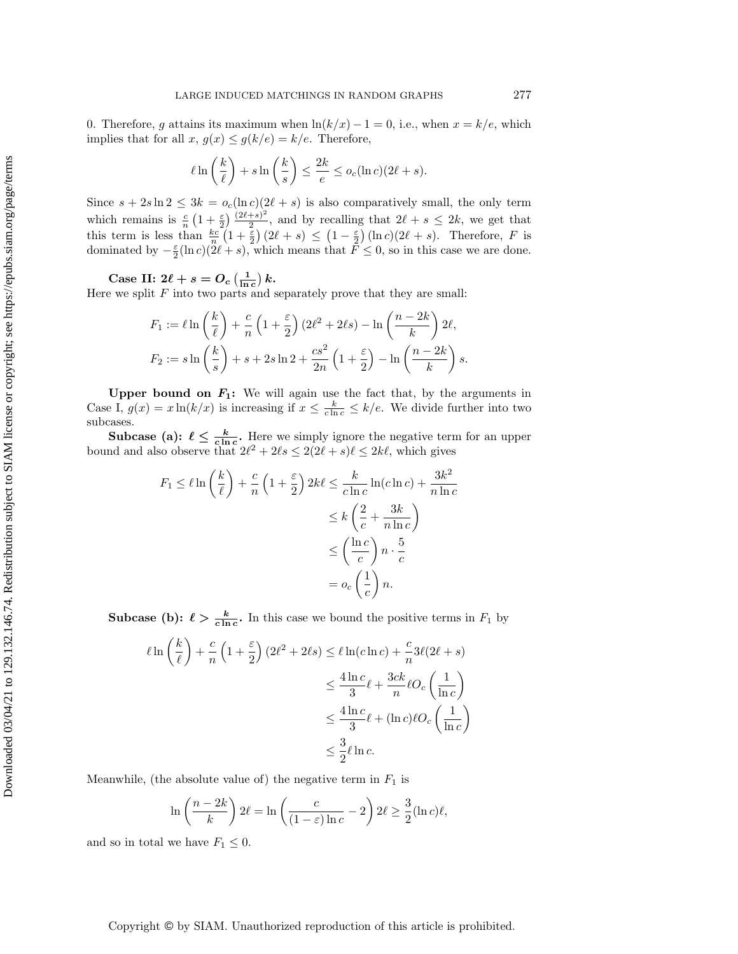0. Therefore, g attains its maximum when  $\ln(k/x) - 1 = 0$ , i.e., when  $x = k/e$ , which implies that for all  $x, g(x) \leq g(k/e) = k/e$ . Therefore,

$$
\ell \ln \left( \frac{k}{\ell} \right) + s \ln \left( \frac{k}{s} \right) \le \frac{2k}{e} \le o_c(\ln c)(2\ell + s).
$$

Since  $s + 2s \ln 2 \leq 3k = o_c(\ln c)(2\ell + s)$  is also comparatively small, the only term which remains is  $\frac{c}{n}\left( 1 + \frac{\varepsilon}{2} \right) \frac{(2\ell + s)^2}{2}$  $\frac{+s_j}{2}$ , and by recalling that  $2\ell + s \leq 2k$ , we get that this term is less than  $\frac{kc}{n}(1 + \frac{\varepsilon}{2})(2\ell + s) \leq (1 - \frac{\varepsilon}{2})(\ln c)(2\ell + s)$ . Therefore, F is dominated by  $-\frac{\varepsilon}{2}(\ln c)(2\ell + s)$ , which means that  $\bar{F} \leq 0$ , so in this case we are done.

Case II:  $2\ell + s = O_c \left( \frac{1}{\ln c} \right) k$ .

Here we split  $F$  into two parts and separately prove that they are small:

$$
F_1 := \ell \ln\left(\frac{k}{\ell}\right) + \frac{c}{n}\left(1 + \frac{\varepsilon}{2}\right)(2\ell^2 + 2\ell s) - \ln\left(\frac{n - 2k}{k}\right)2\ell,
$$
  

$$
F_2 := s \ln\left(\frac{k}{s}\right) + s + 2s \ln 2 + \frac{cs^2}{2n}\left(1 + \frac{\varepsilon}{2}\right) - \ln\left(\frac{n - 2k}{k}\right)s.
$$

Upper bound on  $\mathbf{F}_1$ : We will again use the fact that, by the arguments in Case I,  $g(x) = x \ln(k/x)$  is increasing if  $x \leq \frac{k}{c \ln c} \leq k/e$ . We divide further into two subcases.

**Subcase (a):**  $\ell \leq \frac{k}{c \ln c}$ . Here we simply ignore the negative term for an upper bound and also observe that  $2\ell^2 + 2\ell s \leq 2(2\ell + s)\ell \leq 2k\ell$ , which gives

$$
F_1 \leq \ell \ln\left(\frac{k}{\ell}\right) + \frac{c}{n} \left(1 + \frac{\varepsilon}{2}\right) 2k\ell \leq \frac{k}{c \ln c} \ln(c \ln c) + \frac{3k^2}{n \ln c}
$$
  

$$
\leq k \left(\frac{2}{c} + \frac{3k}{n \ln c}\right)
$$
  

$$
\leq \left(\frac{\ln c}{c}\right) n \cdot \frac{5}{c}
$$
  

$$
= o_c \left(\frac{1}{c}\right) n.
$$

**Subcase (b):**  $\ell > \frac{k}{c \ln c}$ . In this case we bound the positive terms in  $F_1$  by

$$
\ell \ln \left(\frac{k}{\ell}\right) + \frac{c}{n} \left(1 + \frac{\varepsilon}{2}\right) \left(2\ell^2 + 2\ell s\right) \le \ell \ln(c \ln c) + \frac{c}{n} 3\ell (2\ell + s)
$$
  

$$
\le \frac{4 \ln c}{3} \ell + \frac{3ck}{n} \ell O_c \left(\frac{1}{\ln c}\right)
$$
  

$$
\le \frac{4 \ln c}{3} \ell + (\ln c) \ell O_c \left(\frac{1}{\ln c}\right)
$$
  

$$
\le \frac{3}{2} \ell \ln c.
$$

Meanwhile, (the absolute value of) the negative term in  $F_1$  is

$$
\ln\left(\frac{n-2k}{k}\right)2\ell = \ln\left(\frac{c}{(1-\varepsilon)\ln c} - 2\right)2\ell \ge \frac{3}{2}(\ln c)\ell,
$$

and so in total we have  $F_1 \leq 0$ .

Downloaded 03/04/21 to 129.132.146.74. Redistribution subject to SIAM license or copyright; see https://epubs.siam.org/page/terms Downloaded 03/04/21 to 129.132.146.74. Redistribution subject to SIAM license or copyright; see https://epubs.siam.org/page/terms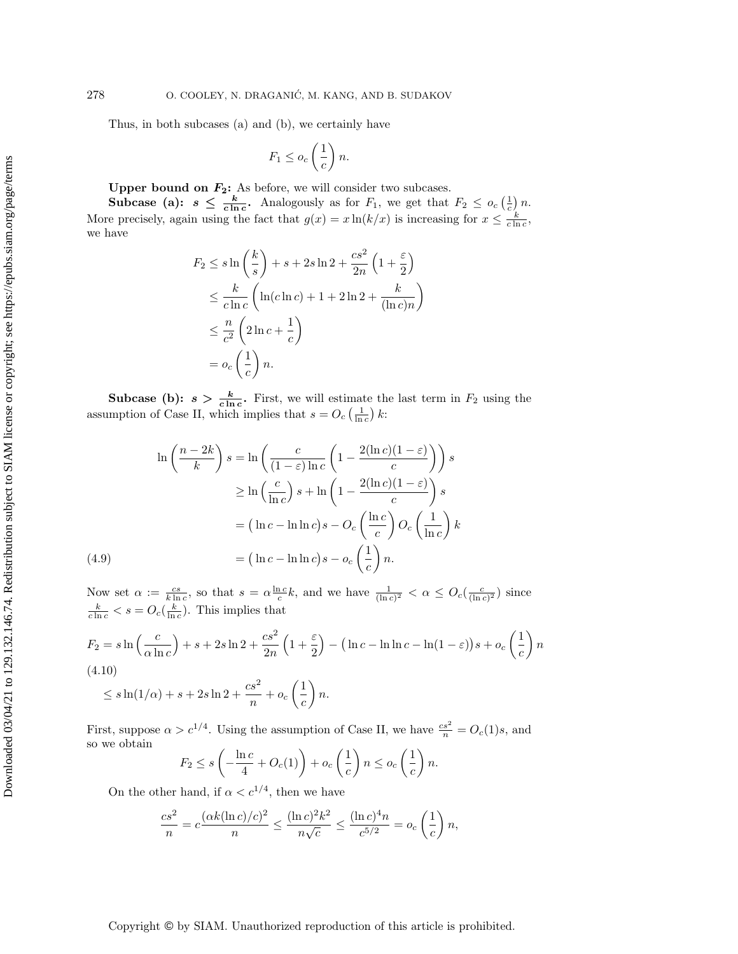Thus, in both subcases (a) and (b), we certainly have

$$
F_1 \leq o_c \left(\frac{1}{c}\right) n.
$$

Upper bound on  $\mathbf{F_2}$ : As before, we will consider two subcases.

**Subcase** (a):  $s \leq \frac{k}{c \ln c}$ . Analogously as for  $F_1$ , we get that  $F_2 \leq o_c(\frac{1}{c})n$ . More precisely, again using the fact that  $g(x) = x \ln(k/x)$  is increasing for  $x \leq \frac{k}{c \ln c}$ , we have

$$
F_2 \leq s \ln\left(\frac{k}{s}\right) + s + 2s \ln 2 + \frac{cs^2}{2n} \left(1 + \frac{\varepsilon}{2}\right)
$$
  

$$
\leq \frac{k}{c \ln c} \left(\ln(c \ln c) + 1 + 2 \ln 2 + \frac{k}{(\ln c)n}\right)
$$
  

$$
\leq \frac{n}{c^2} \left(2 \ln c + \frac{1}{c}\right)
$$
  

$$
= o_c \left(\frac{1}{c}\right) n.
$$

**Subcase (b):**  $s > \frac{k}{c \ln c}$ . First, we will estimate the last term in  $F_2$  using the assumption of Case II, which implies that  $s = O_c \left( \frac{1}{\ln c} \right) k$ :

$$
\ln\left(\frac{n-2k}{k}\right)s = \ln\left(\frac{c}{(1-\varepsilon)\ln c}\left(1-\frac{2(\ln c)(1-\varepsilon)}{c}\right)\right)s
$$
  

$$
\geq \ln\left(\frac{c}{\ln c}\right)s + \ln\left(1-\frac{2(\ln c)(1-\varepsilon)}{c}\right)s
$$
  

$$
= (\ln c - \ln \ln c)s - O_c\left(\frac{\ln c}{c}\right)O_c\left(\frac{1}{\ln c}\right)k
$$
  
(4.9)  

$$
= (\ln c - \ln \ln c)s - o_c\left(\frac{1}{c}\right)n.
$$

Now set  $\alpha := \frac{cs}{k \ln c}$ , so that  $s = \alpha \frac{\ln c}{c} k$ , and we have  $\frac{1}{(\ln c)^2} < \alpha \leq O_c(\frac{c}{(\ln c)^2})$  since  $\frac{k}{c \ln c} < s = O_c(\frac{k}{\ln c})$ . This implies that

<span id="page-11-0"></span>
$$
F_2 = s \ln\left(\frac{c}{\alpha \ln c}\right) + s + 2s \ln 2 + \frac{cs^2}{2n} \left(1 + \frac{\varepsilon}{2}\right) - \left(\ln c - \ln \ln c - \ln(1 - \varepsilon)\right)s + o_c\left(\frac{1}{c}\right)n
$$
\n(4.10)

$$
\leq s \ln(1/\alpha) + s + 2s \ln 2 + \frac{cs^2}{n} + o_c\left(\frac{1}{c}\right)n.
$$

First, suppose  $\alpha > c^{1/4}$ . Using the assumption of Case II, we have  $\frac{cs^2}{n} = O_c(1)s$ , and so we obtain

$$
F_2 \le s \left( -\frac{\ln c}{4} + O_c(1) \right) + o_c\left(\frac{1}{c}\right) n \le o_c\left(\frac{1}{c}\right) n.
$$

On the other hand, if  $\alpha < c^{1/4}$ , then we have

$$
\frac{cs^2}{n} = c \frac{(\alpha k (\ln c)/c)^2}{n} \le \frac{(\ln c)^2 k^2}{n\sqrt{c}} \le \frac{(\ln c)^4 n}{c^{5/2}} = o_c \left(\frac{1}{c}\right)n,
$$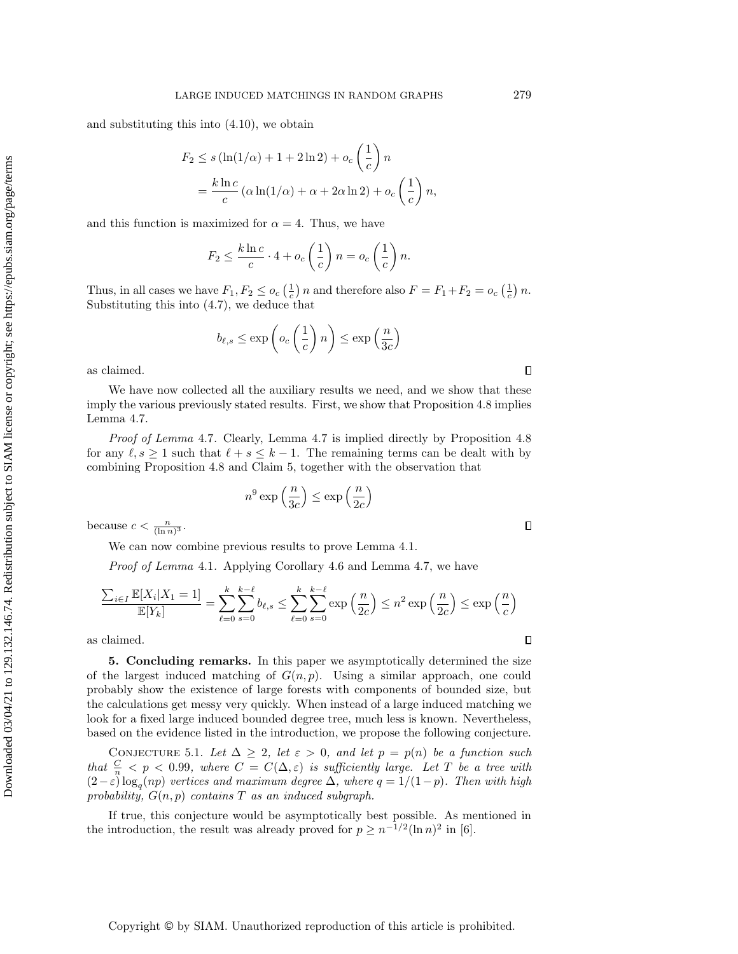and substituting this into [\(4.10\)](#page-11-0), we obtain

$$
F_2 \le s \left(\ln(1/\alpha) + 1 + 2\ln 2\right) + o_c\left(\frac{1}{c}\right)n
$$
  
=  $\frac{k \ln c}{c} \left(\alpha \ln(1/\alpha) + \alpha + 2\alpha \ln 2\right) + o_c\left(\frac{1}{c}\right)n$ ,

and this function is maximized for  $\alpha = 4$ . Thus, we have

$$
F_2 \le \frac{k \ln c}{c} \cdot 4 + o_c\left(\frac{1}{c}\right) n = o_c\left(\frac{1}{c}\right) n.
$$

Thus, in all cases we have  $F_1, F_2 \leq o_c \left( \frac{1}{c} \right) n$  and therefore also  $F = F_1 + F_2 = o_c \left( \frac{1}{c} \right) n$ . Substituting this into [\(4.7\)](#page-9-1), we deduce that

$$
b_{\ell,s} \le \exp\left(o_c\left(\frac{1}{c}\right)n\right) \le \exp\left(\frac{n}{3c}\right)
$$

as claimed.

We have now collected all the auxiliary results we need, and we show that these imply the various previously stated results. First, we show that [Proposition 4.8](#page-8-1) implies [Lemma 4.7.](#page-8-2)

Proof of [Lemma](#page-8-2) 4.7. Clearly, [Lemma 4.7](#page-8-2) is implied directly by [Proposition 4.8](#page-8-1) for any  $\ell, s \geq 1$  such that  $\ell + s \leq k - 1$ . The remaining terms can be dealt with by combining [Proposition 4.8](#page-8-1) and [Claim 5,](#page-8-0) together with the observation that

$$
n^9\exp\left(\frac{n}{3c}\right)\leq\exp\left(\frac{n}{2c}\right)
$$

because  $c < \frac{n}{(\ln n)^3}$ .

We can now combine previous results to prove [Lemma 4.1.](#page-4-3)

Proof of [Lemma](#page-4-3) 4.1. Applying [Corollary 4.6](#page-7-1) and [Lemma 4.7,](#page-8-2) we have

$$
\frac{\sum_{i\in I}\mathbb{E}[X_i|X_1=1]}{\mathbb{E}[Y_k]} = \sum_{\ell=0}^k \sum_{s=0}^{k-\ell} b_{\ell,s} \le \sum_{\ell=0}^k \sum_{s=0}^{k-\ell} \exp\left(\frac{n}{2c}\right) \le n^2 \exp\left(\frac{n}{2c}\right) \le \exp\left(\frac{n}{c}\right)
$$

as claimed.

5. Concluding remarks. In this paper we asymptotically determined the size of the largest induced matching of  $G(n, p)$ . Using a similar approach, one could probably show the existence of large forests with components of bounded size, but the calculations get messy very quickly. When instead of a large induced matching we look for a fixed large induced bounded degree tree, much less is known. Nevertheless, based on the evidence listed in the introduction, we propose the following conjecture.

CONJECTURE 5.1. Let  $\Delta \geq 2$ , let  $\varepsilon > 0$ , and let  $p = p(n)$  be a function such that  $\frac{C}{n} < p < 0.99$ , where  $C = C(\Delta, \varepsilon )$  is sufficiently large. Let T be a tree with  $(2 - \varepsilon) \log_q(np)$  vertices and maximum degree  $\Delta$ , where  $q = 1/(1 - p)$ . Then with high probability,  $G(n, p)$  contains T as an induced subgraph.

If true, this conjecture would be asymptotically best possible. As mentioned in the introduction, the result was already proved for  $p \geq n^{-1/2} (\ln n)^2$  in [\[6\]](#page-13-16).

 $\Box$ 

 $\Box$ 

 $\Box$